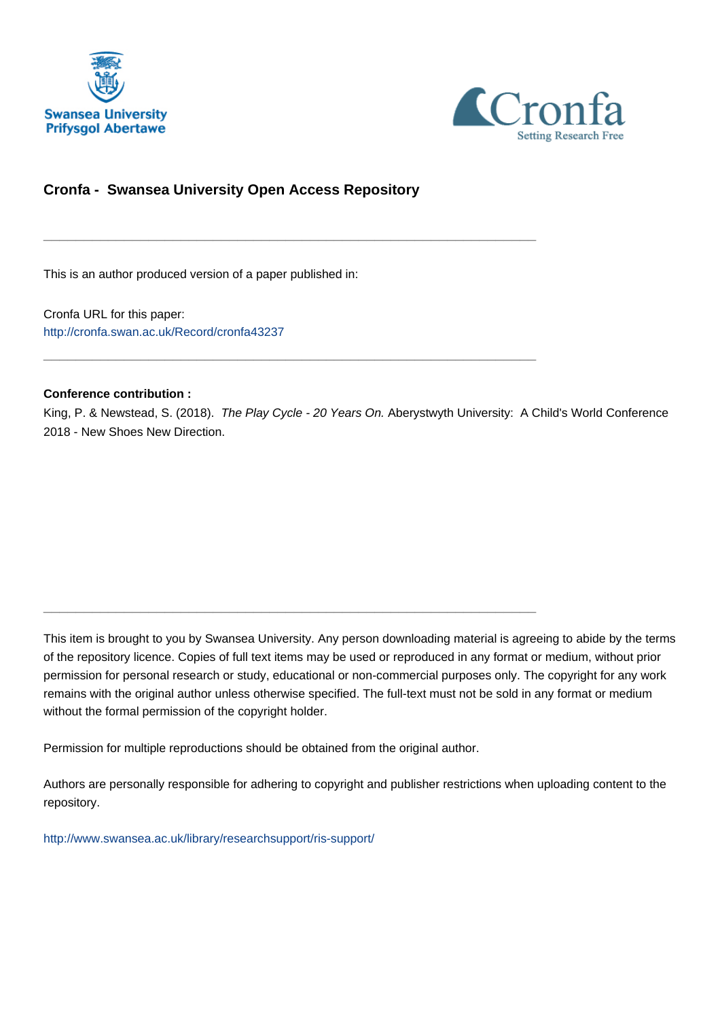



# **Cronfa - Swansea University Open Access Repository**

\_\_\_\_\_\_\_\_\_\_\_\_\_\_\_\_\_\_\_\_\_\_\_\_\_\_\_\_\_\_\_\_\_\_\_\_\_\_\_\_\_\_\_\_\_\_\_\_\_\_\_\_\_\_\_\_\_\_\_\_\_

\_\_\_\_\_\_\_\_\_\_\_\_\_\_\_\_\_\_\_\_\_\_\_\_\_\_\_\_\_\_\_\_\_\_\_\_\_\_\_\_\_\_\_\_\_\_\_\_\_\_\_\_\_\_\_\_\_\_\_\_\_

\_\_\_\_\_\_\_\_\_\_\_\_\_\_\_\_\_\_\_\_\_\_\_\_\_\_\_\_\_\_\_\_\_\_\_\_\_\_\_\_\_\_\_\_\_\_\_\_\_\_\_\_\_\_\_\_\_\_\_\_\_

This is an author produced version of a paper published in:

Cronfa URL for this paper: <http://cronfa.swan.ac.uk/Record/cronfa43237>

#### **Conference contribution :**

King, P. & Newstead, S. (2018). The Play Cycle - 20 Years On. Aberystwyth University: A Child's World Conference 2018 - New Shoes New Direction.

This item is brought to you by Swansea University. Any person downloading material is agreeing to abide by the terms of the repository licence. Copies of full text items may be used or reproduced in any format or medium, without prior permission for personal research or study, educational or non-commercial purposes only. The copyright for any work remains with the original author unless otherwise specified. The full-text must not be sold in any format or medium without the formal permission of the copyright holder.

Permission for multiple reproductions should be obtained from the original author.

Authors are personally responsible for adhering to copyright and publisher restrictions when uploading content to the repository.

[http://www.swansea.ac.uk/library/researchsupport/ris-support/](http://www.swansea.ac.uk/library/researchsupport/ris-support/ )